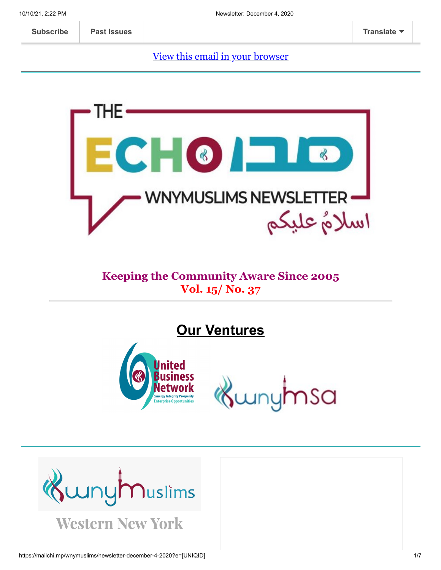[View this email in your browser](https://mailchi.mp/wnymuslims/newsletter-december-4-2020?e=[UNIQID])



#### **Keeping the Community Aware Since 2005 Vol. 15/ No. 37**

**Our Ventures**



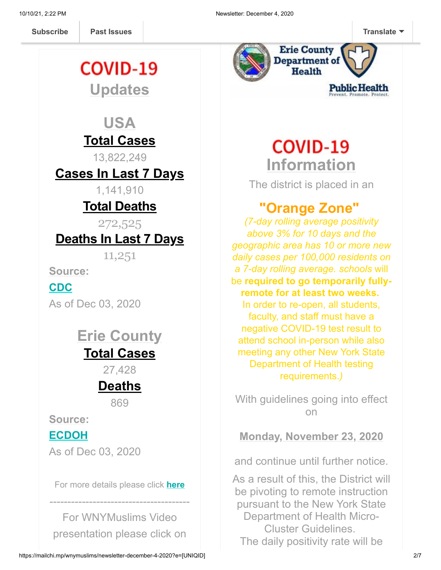**[Subscribe](http://eepurl.com/b19N3D) Past Issues [Translate](javascript:;)**

## **COVID-19 Updates**

**Past Issues** 

#### **USA Total Cases**

13,822,249

**Cases In Last 7 Days**

1,141,910

#### **Total Deaths**

272,525

#### **Deaths In Last 7 Days**

11,251

**Source:**

**[CDC](https://covid.cdc.gov/covid-data-tracker/?CDC_AA_refVal=https%3A%2F%2Fwww.cdc.gov%2Fcoronavirus%2F2019-ncov%2Fcases-updates%2Fcases-in-us.html#cases_casesinlast7days)**

As of Dec 03, 2020

#### **Erie County Total Cases**

27,428

### **Deaths**

869

**Source:**

**[ECDOH](https://wnymuslims.us13.list-manage.com/track/click?u=19ed6f05ad8527220a10faa63&id=249ef8f8f9&e=375b9d9dab)**

As of Dec 03, 2020

For more details please click **[here](https://wnymuslims.org/event/covid-19-updates/)**

---------------------------------------

For WNYMuslims Video presentation please click on



# **COVID-19 Information**

The district is placed in an

#### **"Orange Zone"**

*(7-day rolling average positivity above 3% for 10 days and the geographic area has 10 or more new daily cases per 100,000 residents on a 7-day rolling average. schools* will be **required to go temporarily fullyremote for at least two weeks.** In order to re-open, all students, faculty, and staff must have a negative COVID-19 test result to attend school in-person while also meeting any other New York State Department of Health testing requirements.*)*

With guidelines going into effect on

**Monday, November 23, 2020**

and continue until further notice.

As a result of this, the District will be pivoting to remote instruction pursuant to the New York State Department of Health Micro-Cluster Guidelines. The daily positivity rate will be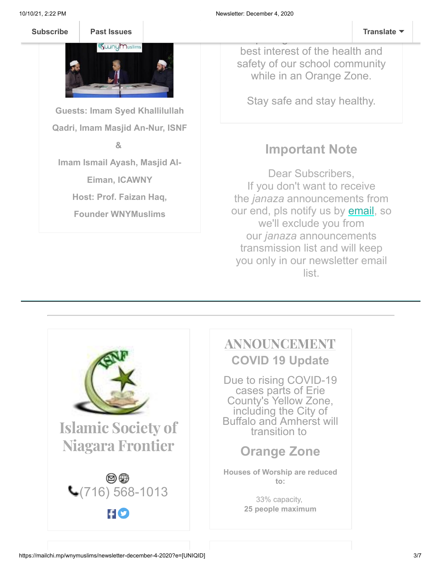

**Guests: Imam Syed Khallilullah Qadri, Imam Masjid An-Nur, ISNF &**

**Imam Ismail Ayash, Masjid Al-**

**Eiman, ICAWNY**

**Host: Prof. Faizan Haq,**

**Founder WNYMuslims**

best interest of the health and safety of our school community while in an Orange Zone.

Stay safe and stay healthy.

#### **Important Note**

Dear Subscribers, If you don't want to receive the *janaza* announcements from our end, pls notify us by **email**, so we'll exclude you from our *janaza* announcements transmission list and will keep you only in our newsletter email list.

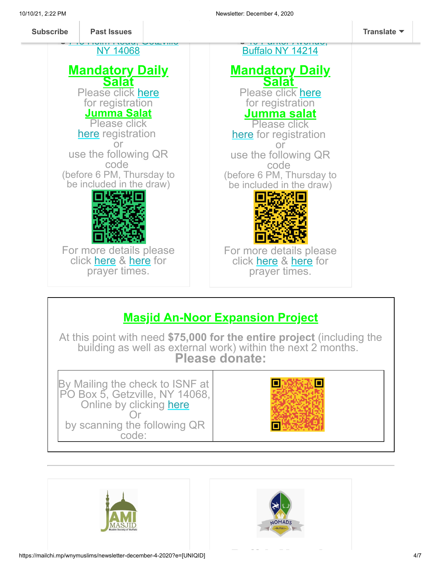

#### **Masjid An-Noor Expansion Project**

At this point with need **\$75,000 for the entire project** (including the building as well as external work) within the next 2 months. **Please donate:**







**B ff l N d**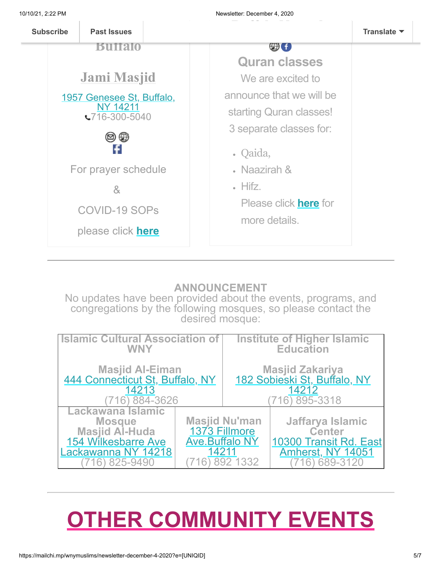

#### **ANNOUNCEMENT**

No updates have been provided about the events, programs, and congregations by the following mosques, so please contact the desired mosque:

| <b>Islamic Cultural Association of</b>                                                                                       |                                                 | <b>Institute of Higher Islamic</b>                     |                                                                                                     |
|------------------------------------------------------------------------------------------------------------------------------|-------------------------------------------------|--------------------------------------------------------|-----------------------------------------------------------------------------------------------------|
| <b>WNY</b>                                                                                                                   |                                                 | <b>Education</b>                                       |                                                                                                     |
| Masjid Al-Eiman<br>444 Connecticut St, Buffalo, NY                                                                           |                                                 | Masjid Zakariya<br><u>182 Sobieski St, Buffalo, NY</u> |                                                                                                     |
| 14213                                                                                                                        |                                                 | 14212                                                  |                                                                                                     |
| 884-3626                                                                                                                     |                                                 | 895-3318                                               |                                                                                                     |
| Lackawana Islamic<br><b>Mosque</b><br><b>Masjid Al-Huda</b><br><b>154 Wilkesbarre Ave</b><br>Lackawanna NY 14218<br>825-9490 | 1373 Fillmore<br><b>Ave.Buffalo NY</b><br>14211 | <b>Masjid Nu'man</b><br>892 1332                       | Jaffarya Islamic<br><b>Center</b><br>10300 Transit Rd. East<br><b>Amherst, NY 14051</b><br>689-3120 |

# **OTHER COMMUNITY EVENTS**